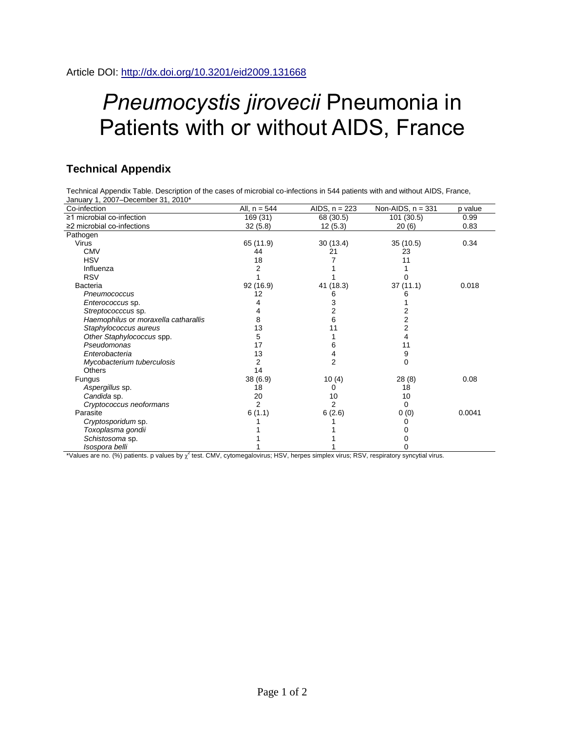## *Pneumocystis jirovecii* Pneumonia in Patients with or without AIDS, France

## **Technical Appendix**

Technical Appendix Table. Description of the cases of microbial co-infections in 544 patients with and without AIDS, France, January 1, 2007–December 31, 2010\*

| Co-infection                         | All, $n = 544$ | AIDS, $n = 223$ | Non-AIDS, $n = 331$ | p value |
|--------------------------------------|----------------|-----------------|---------------------|---------|
| $\geq$ 1 microbial co-infection      | 169 (31)       | 68 (30.5)       | 101 (30.5)          | 0.99    |
| $\geq$ 2 microbial co-infections     | 32(5.8)        | 12(5.3)         | 20(6)               | 0.83    |
| Pathogen                             |                |                 |                     |         |
| <b>Virus</b>                         | 65 (11.9)      | 30 (13.4)       | 35(10.5)            | 0.34    |
| <b>CMV</b>                           | 44             | 21              | 23                  |         |
| <b>HSV</b>                           | 18             |                 | 11                  |         |
| Influenza                            |                |                 |                     |         |
| <b>RSV</b>                           |                |                 |                     |         |
| Bacteria                             | 92 (16.9)      | 41 (18.3)       | 37(11.1)            | 0.018   |
| Pneumococcus                         | 12             |                 |                     |         |
| Enterococcus sp.                     |                | 3               |                     |         |
| Streptococccus sp.                   |                | 2               |                     |         |
| Haemophilus or moraxella catharallis | 8              | 6               |                     |         |
| Staphylococcus aureus                | 13             | 11              | 2                   |         |
| Other Staphylococcus spp.            | 5              |                 | 4                   |         |
| Pseudomonas                          | 17             | 6               | 11                  |         |
| Enterobacteria                       | 13             | 4               | 9                   |         |
| Mycobacterium tuberculosis           | 2              | 2               | 0                   |         |
| <b>Others</b>                        | 14             |                 |                     |         |
| <b>Fungus</b>                        | 38(6.9)        | 10(4)           | 28(8)               | 0.08    |
| Aspergillus sp.                      | 18             | 0               | 18                  |         |
| Candida sp.                          | 20             | 10              | 10                  |         |
| Cryptococcus neoformans              | 2              | 2               | 0                   |         |
| Parasite                             | 6(1.1)         | 6(2.6)          | 0(0)                | 0.0041  |
| Cryptosporidum sp.                   |                |                 |                     |         |
| Toxoplasma gondii                    |                |                 |                     |         |
| Schistosoma sp.                      |                |                 |                     |         |
| Isospora belli                       |                |                 | ი                   |         |

\*Values are no. (%) patients. p values by  $\chi^2$  test. CMV, cytomegalovirus; HSV, herpes simplex virus; RSV, respiratory syncytial virus.